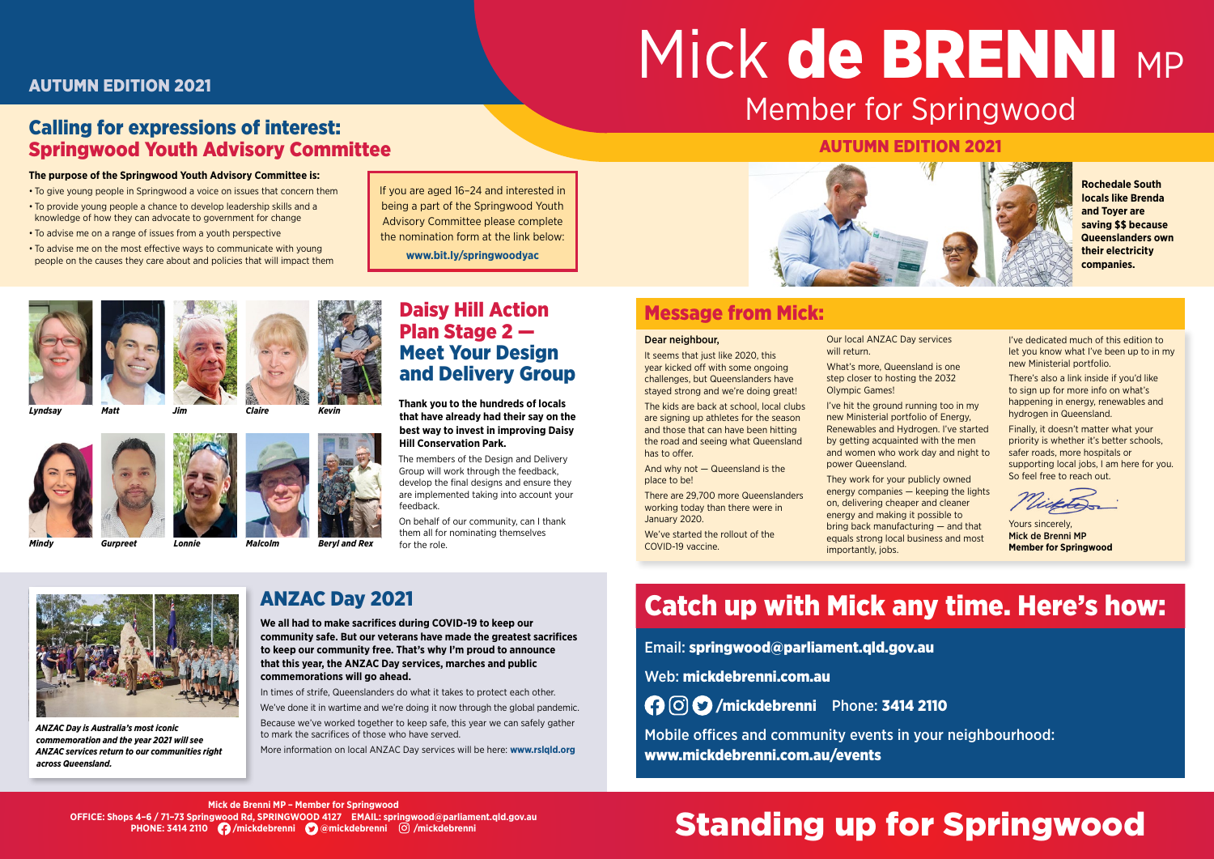#### Dear neighbour,

It seems that just like 2020, this year kicked off with some ongoing challenges, but Queenslanders have stayed strong and we're doing great!

The kids are back at school, local clubs are signing up athletes for the season and those that can have been hitting the road and seeing what Queensland has to offer.

And why not — Queensland is the place to be!

There are 29,700 more Queenslanders working today than there were in January 2020.

We've started the rollout of the COVID-19 vaccine.

Our local ANZAC Day services will return.

What's more, Queensland is one step closer to hosting the 2032 Olympic Games!

I've hit the ground running too in my new Ministerial portfolio of Energy, Renewables and Hydrogen. I've started by getting acquainted with the men and women who work day and night to power Queensland.

They work for your publicly owned energy companies — keeping the lights on, delivering cheaper and cleaner energy and making it possible to bring back manufacturing — and that equals strong local business and most importantly, jobs.

I've dedicated much of this edition to let you know what I've been up to in my new Ministerial portfolio.

There's also a link inside if you'd like to sign up for more info on what's happening in energy, renewables and hydrogen in Queensland.

Finally, it doesn't matter what your priority is whether it's better schools, safer roads, more hospitals or supporting local jobs, I am here for you. So feel free to reach out.

### Daisy Hill Action Plan Stage 2 — Meet Your Design and Delivery Group

**Thank you to the hundreds of locals that have already had their say on the best way to invest in improving Daisy Hill Conservation Park.**

The members of the Design and Delivery Group will work through the feedback, develop the final designs and ensure they are implemented taking into account your feedback.

# Mick de BRENNI MP Member for Springwood

On behalf of our community, can I thank them all for nominating themselves for the role.

## ANZAC Day 2021

**We all had to make sacrifices during COVID-19 to keep our community safe. But our veterans have made the greatest sacrifices to keep our community free. That's why I'm proud to announce that this year, the ANZAC Day services, marches and public commemorations will go ahead.**

In times of strife, Queenslanders do what it takes to protect each other.

We've done it in wartime and we're doing it now through the global pandemic. Because we've worked together to keep safe, this year we can safely gather to mark the sacrifices of those who have served.

More information on local ANZAC Day services will be here: **www.rslqld.org**

### Calling for expressions of interest: Springwood Youth Advisory Committee

#### **The purpose of the Springwood Youth Advisory Committee is:**

- To give young people in Springwood a voice on issues that concern them
- To provide young people a chance to develop leadership skills and a knowledge of how they can advocate to government for change
- To advise me on a range of issues from a youth perspective

• To advise me on the most effective ways to communicate with young people on the causes they care about and policies that will impact them

## Standing up for Springwood

**Mick de Brenni MP – Member for Springwood OFFICE: Shops 4–6 / 71–73 Springwood Rd, SPRINGWOOD 4127 EMAIL: [springwood@parliament.qld.gov.au](mailto:springwood@parliament.qld.gov.au) PHONE: 3414 2110 [/mickdebrenni](https://www.facebook.com/mickdebrenni)  [@mickdebrenni](https://twitter.com/mickdebrenni) [/mickdebrenni](https://www.instagram.com/mickdebrenni/)**



*ANZAC Day is Australia's most iconic commemoration and the year 2021 will see ANZAC services return to our communities right across Queensland.*

**Rochedale South locals like Brenda and Toyer are saving \$\$ because Queenslanders own their electricity companies.**

### Message from Mick:

### AUTUMN EDITION 2021

### AUTUMN EDITION 2021



Yours sincerely, Mick de Brenni MP **Member for Springwood**

## Catch up with Mick any time. Here's how:

Email: [springwood@parliament.qld.gov.au](mailto:springwood@parliament.qld.gov.au)

Web: [mickdebrenni.com.au](https://www.mickdebrenni.com.au/)

 [/mickdebrenni](https://www.facebook.com/mickdebrenni) Phone: 3414 2110

Mobile offices and community events in your neighbourhood: www.mickdebrenni.com.au/events

*Lyndsay Matt Jim Claire*

*Mindy Gurpreet Lonnie Malcolm Beryl and Rex*

*Kevin*

If you are aged 16–24 and interested in being a part of the Springwood Youth Advisory Committee please complete the nomination form at the link below:

**www.bit.ly/springwoodyac**